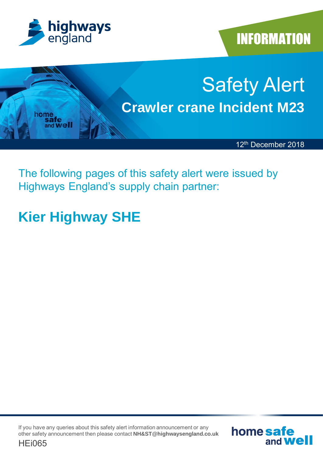

**INFORMATION** 



The following pages of this safety alert were issued by Highways England's supply chain partner:

## **Kier Highway SHE**

If you have any queries about this safety alert information announcement or any other safety announcement then please contact **NH&ST@highwaysengland.co.uk**